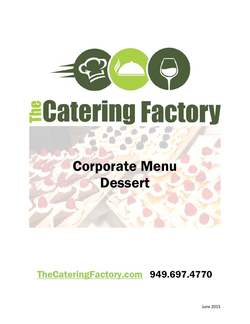# *<u>ECatering Factory</u>*

# Corporate Menu **Dessert**

# TheCateringFactory.com 949.697.4770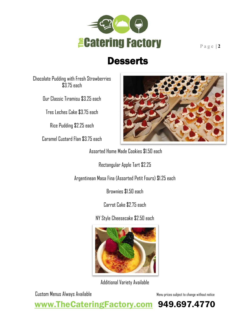

# Desserts

Chocolate Pudding with Fresh Strawberries \$3.75 each

Our Classic Tiramisu \$3.25 each

Tres Leches Cake \$3.75 each

Rice Pudding \$2.25 each

Caramel Custard Flan \$3.75 each



Assorted Home Made Cookies \$1.50 each

Rectangular Apple Tart \$2.25

Argentinean Masa Fina (Assorted Petit Fours) \$1.25 each

Brownies \$1.50 each

Carrot Cake \$2.75 each

NY Style Cheesecake \$2.50 each



Additional Variety Available

Custom Menus Always Available Menu prices subject to change without notice

www.TheCateringFactory.com 949.697.4770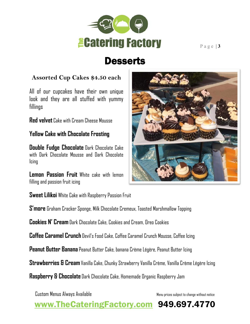

## **Desserts**

### **Assorted Cup Cakes \$4.50 each**

All of our cupcakes have their own unique look and they are all stuffed with yummy fillings

**Red velvet** Cake with Cream Cheese Mousse

### **Yellow Cake with Chocolate Frosting**

**Double Fudge Chocolate** Dark Chocolate Cake with Dark Chocolate Mousse and Dark Chocolate Icing

**Lemon Passion Fruit** White cake with lemon filling and passion fruit icing



**Sweet Lilikoi** White Cake with Raspberry Passion Fruit

**S'more** Graham Cracker Sponge, Milk Chocolate Cremeux, Toasted Marshmallow Topping

**Cookies N' Cream**Dark Chocolate Cake, Cookies and Cream, Oreo Cookies

**Coffee Caramel Crunch** Devil's Food Cake, Coffee Caramel Crunch Mousse, Coffee Icing

**Peanut Butter Banana** Peanut Butter Cake, banana Crème Légère, Peanut Butter Icing

**Strawberries & Cream**Vanilla Cake, Chunky Strawberry Vanilla Crème, Vanilla Crème Légère Icing

**Raspberry & Chocolate** Dark Chocolate Cake, Homemade Organic Raspberry Jam

Custom Menus Always Available Menu prices subject to change without notice

www.TheCateringFactory.com 949.697.4770